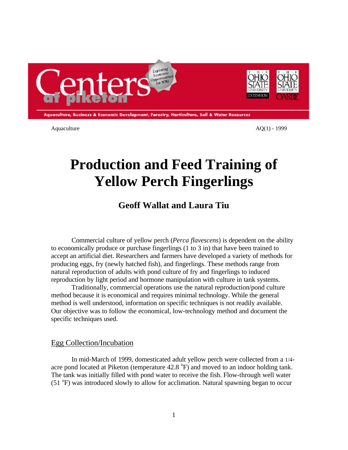

Aquaculture AQ(1) - 1999

# **Production and Feed Training of Yellow Perch Fingerlings**

## **Geoff Wallat and Laura Tiu**

Commercial culture of yellow perch (*Perca flavescens*) is dependent on the ability to economically produce or purchase fingerlings (1 to 3 in) that have been trained to accept an artificial diet. Researchers and farmers have developed a variety of methods for producing eggs, fry (newly hatched fish), and fingerlings. These methods range from natural reproduction of adults with pond culture of fry and fingerlings to induced reproduction by light period and hormone manipulation with culture in tank systems.

Traditionally, commercial operations use the natural reproduction/pond culture method because it is economical and requires minimal technology. While the general method is well understood, information on specific techniques is not readily available. Our objective was to follow the economical, low-technology method and document the specific techniques used.

#### **Egg Collection/Incubation**

In mid-March of 1999, domesticated adult yellow perch were collected from a 1/4 acre pond located at Piketon (temperature  $42.8 \degree F$ ) and moved to an indoor holding tank. The tank was initially filled with pond water to receive the fish. Flow-through well water (51 °F) was introduced slowly to allow for acclimation. Natural spawning began to occur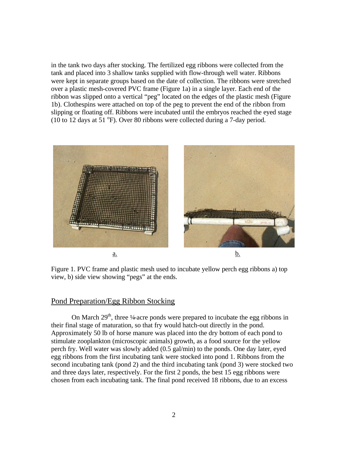in the tank two days after stocking. The fertilized egg ribbons were collected from the tank and placed into 3 shallow tanks supplied with flow-through well water. Ribbons were kept in separate groups based on the date of collection. The ribbons were stretched over a plastic mesh-covered PVC frame (Figure 1a) in a single layer. Each end of the ribbon was slipped onto a vertical "peg" located on the edges of the plastic mesh (Figure 1b). Clothespins were attached on top of the peg to prevent the end of the ribbon from slipping or floating off. Ribbons were incubated until the embryos reached the eyed stage (10 to 12 days at 51  $^{\circ}$ F). Over 80 ribbons were collected during a 7-day period.



Figure 1. PVC frame and plastic mesh used to incubate yellow perch egg ribbons a) top view, b) side view showing "pegs" at the ends.

### Pond Preparation/Egg Ribbon Stocking

On March  $29<sup>th</sup>$ , three ¼-acre ponds were prepared to incubate the egg ribbons in their final stage of maturation, so that fry would hatch-out directly in the pond. Approximately 50 lb of horse manure was placed into the dry bottom of each pond to stimulate zooplankton (microscopic animals) growth, as a food source for the yellow perch fry. Well water was slowly added (0.5 gal/min) to the ponds. One day later, eyed egg ribbons from the first incubating tank were stocked into pond 1. Ribbons from the second incubating tank (pond 2) and the third incubating tank (pond 3) were stocked two and three days later, respectively. For the first 2 ponds, the best 15 egg ribbons were chosen from each incubating tank. The final pond received 18 ribbons, due to an excess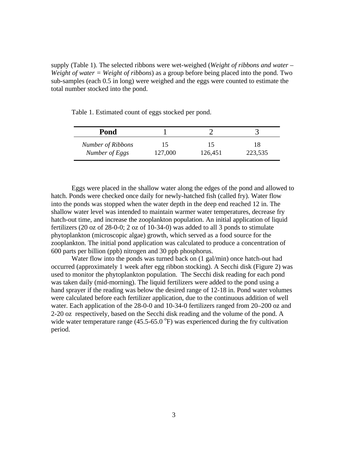supply (Table 1). The selected ribbons were wet-weighed (*Weight of ribbons and water – Weight of water = Weight of ribbons*) as a group before being placed into the pond. Two sub-samples (each 0.5 in long) were weighed and the eggs were counted to estimate the total number stocked into the pond.

Table 1. Estimated count of eggs stocked per pond.

| Pond                                       |               |         |         |
|--------------------------------------------|---------------|---------|---------|
| <b>Number of Ribbons</b><br>Number of Eggs | 15<br>127,000 | 126,451 | 223,535 |

Eggs were placed in the shallow water along the edges of the pond and allowed to hatch. Ponds were checked once daily for newly-hatched fish (called fry). Water flow into the ponds was stopped when the water depth in the deep end reached 12 in. The shallow water level was intended to maintain warmer water temperatures, decrease fry hatch-out time, and increase the zooplankton population. An initial application of liquid fertilizers (20 oz of 28-0-0; 2 oz of 10-34-0) was added to all 3 ponds to stimulate phytoplankton (microscopic algae) growth, which served as a food source for the zooplankton. The initial pond application was calculated to produce a concentration of 600 parts per billion (ppb) nitrogen and 30 ppb phosphorus.

Water flow into the ponds was turned back on (1 gal/min) once hatch-out had occurred (approximately 1 week after egg ribbon stocking). A Secchi disk (Figure 2) was used to monitor the phytoplankton population. The Secchi disk reading for each pond was taken daily (mid-morning). The liquid fertilizers were added to the pond using a hand sprayer if the reading was below the desired range of 12-18 in. Pond water volumes were calculated before each fertilizer application, due to the continuous addition of well water. Each application of the 28-0-0 and 10-34-0 fertilizers ranged from 20–200 oz and 2-20 oz respectively, based on the Secchi disk reading and the volume of the pond. A wide water temperature range  $(45.5{\text -}65.0^{\circ}F)$  was experienced during the fry cultivation period.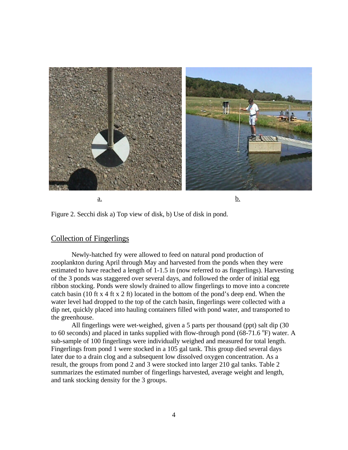



#### Collection of Fingerlings

Newly-hatched fry were allowed to feed on natural pond production of zooplankton during April through May and harvested from the ponds when they were estimated to have reached a length of 1-1.5 in (now referred to as fingerlings). Harvesting of the 3 ponds was staggered over several days, and followed the order of initial egg ribbon stocking. Ponds were slowly drained to allow fingerlings to move into a concrete catch basin (10 ft x 4 ft x 2 ft) located in the bottom of the pond's deep end. When the water level had dropped to the top of the catch basin, fingerlings were collected with a dip net, quickly placed into hauling containers filled with pond water, and transported to the greenhouse.

All fingerlings were wet-weighed, given a 5 parts per thousand (ppt) salt dip (30 to 60 seconds) and placed in tanks supplied with flow-through pond  $(68-71.6 \text{ °F})$  water. A sub-sample of 100 fingerlings were individually weighed and measured for total length. Fingerlings from pond 1 were stocked in a 105 gal tank. This group died several days later due to a drain clog and a subsequent low dissolved oxygen concentration. As a result, the groups from pond 2 and 3 were stocked into larger 210 gal tanks. Table 2 summarizes the estimated number of fingerlings harvested, average weight and length, and tank stocking density for the 3 groups.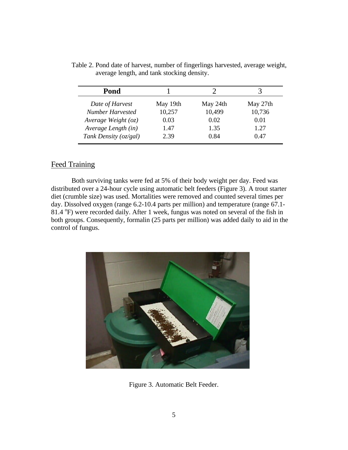| Pond                  |          |          |          |
|-----------------------|----------|----------|----------|
| Date of Harvest       | May 19th | May 24th | May 27th |
| Number Harvested      | 10,257   | 10,499   | 10,736   |
| Average Weight $(oz)$ | 0.03     | 0.02     | 0.01     |
| Average Length (in)   | 1.47     | 1.35     | 1.27     |
| Tank Density (oz/gal) | 2.39     | 0.84     | 0.47     |

Table 2. Pond date of harvest, number of fingerlings harvested, average weight, average length, and tank stocking density.

#### Feed Training

Both surviving tanks were fed at 5% of their body weight per day. Feed was distributed over a 24-hour cycle using automatic belt feeders (Figure 3). A trout starter diet (crumble size) was used. Mortalities were removed and counted several times per day. Dissolved oxygen (range 6.2-10.4 parts per million) and temperature (range 67.1- 81.4 <sup>o</sup>F) were recorded daily. After 1 week, fungus was noted on several of the fish in both groups. Consequently, formalin (25 parts per million) was added daily to aid in the control of fungus.



Figure 3. Automatic Belt Feeder.